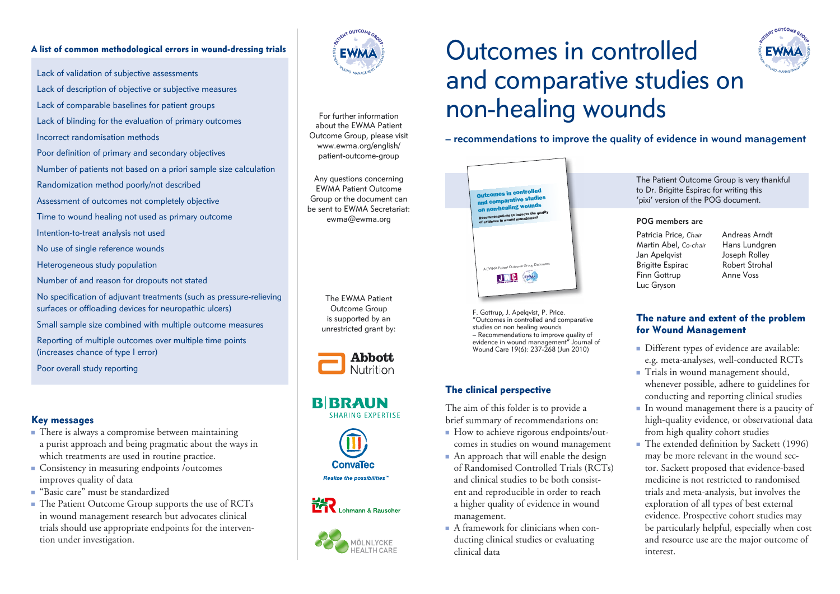#### A list of common methodological errors in wound-dressing trials

Lack of validation of subjective assessments

- Lack of description of objective or subjective measures
- Lack of comparable baselines for patient groups
- Lack of blinding for the evaluation of primary outcomes
- Incorrect randomisation methods
- Poor definition of primary and secondary objectives
- Number of patients not based on a priori sample size calculation
- Randomization method poorly/not described
- Assessment of outcomes not completely objective
- Time to wound healing not used as primary outcome
- Intention-to-treat analysis not used
- No use of single reference wounds
- Heterogeneous study population
- Number of and reason for dropouts not stated
- No specification of adjuvant treatments (such as pressure-relieving surfaces or offloading devices for neuropathic ulcers)
- Small sample size combined with multiple outcome measures
- Reporting of multiple outcomes over multiple time points (increases chance of type I error)
- Poor overall study reporting

## Key messages

- $\blacksquare$  There is always a compromise between maintaining a purist approach and being pragmatic about the ways in which treatments are used in routine practice.
- Consistency in measuring endpoints /outcomes improves quality of data
- <sup>n</sup> "Basic care" must be standardized
- The Patient Outcome Group supports the use of RCTs in wound management research but advocates clinical trials should use appropriate endpoints for the intervention under investigation.



For further information about the EWMA Patient Outcome Group, please visit www.ewma.org/english/ patient-outcome-group

Any questions concerning EWMA Patient Outcome Group or the document can be sent to EWMA Secretariat: ewma@ewma.org

> The EWMA Patient Outcome Group is supported by an unrestricted grant by:



## **BIBRAUN** SHARING EXPERTISE







# Outcomes in controlled and comparative studies on non-healing wounds



**– recommendations to improve the quality of evidence in wound management**



F. Gottrup, J. Apelqvist, P. Price. "Outcomes in controlled and comparative studies on non healing wounds – Recommendations to improve quality of evidence in wound management" Journal of Wound Care 19(6): 237-268 (Jun 2010)

## The clinical perspective

The aim of this folder is to provide a brief summary of recommendations on:

- How to achieve rigorous endpoints/outcomes in studies on wound management
- $\blacksquare$  An approach that will enable the design of Randomised Controlled Trials (RCTs) and clinical studies to be both consistent and reproducible in order to reach a higher quality of evidence in wound management.
- $\blacksquare$  A framework for clinicians when conducting clinical studies or evaluating clinical data

The Patient Outcome Group is very thankful to Dr. Brigitte Espirac for writing this 'pixi' version of the POG document.

#### **POG members are**

- Patricia Price, *Chair* Martin Abel, *Co-chair* Jan Apelqvist Brigitte Espirac Finn Gottrup Luc Gryson
- Andreas Arndt Hans Lundgren Joseph Rolley Robert Strohal Anne Voss

## The nature and extent of the problem for Wound Management

- Different types of evidence are available: e.g. meta-analyses, well-conducted RCTs
- Trials in wound management should, whenever possible, adhere to guidelines for conducting and reporting clinical studies
- <sup>n</sup> In wound management there is a paucity of high-quality evidence, or observational data from high quality cohort studies
- The extended definition by Sackett (1996) may be more relevant in the wound sector. Sackett proposed that evidence-based medicine is not restricted to randomised trials and meta-analysis, but involves the exploration of all types of best external evidence. Prospective cohort studies may be particularly helpful, especially when cost and resource use are the major outcome of interest.